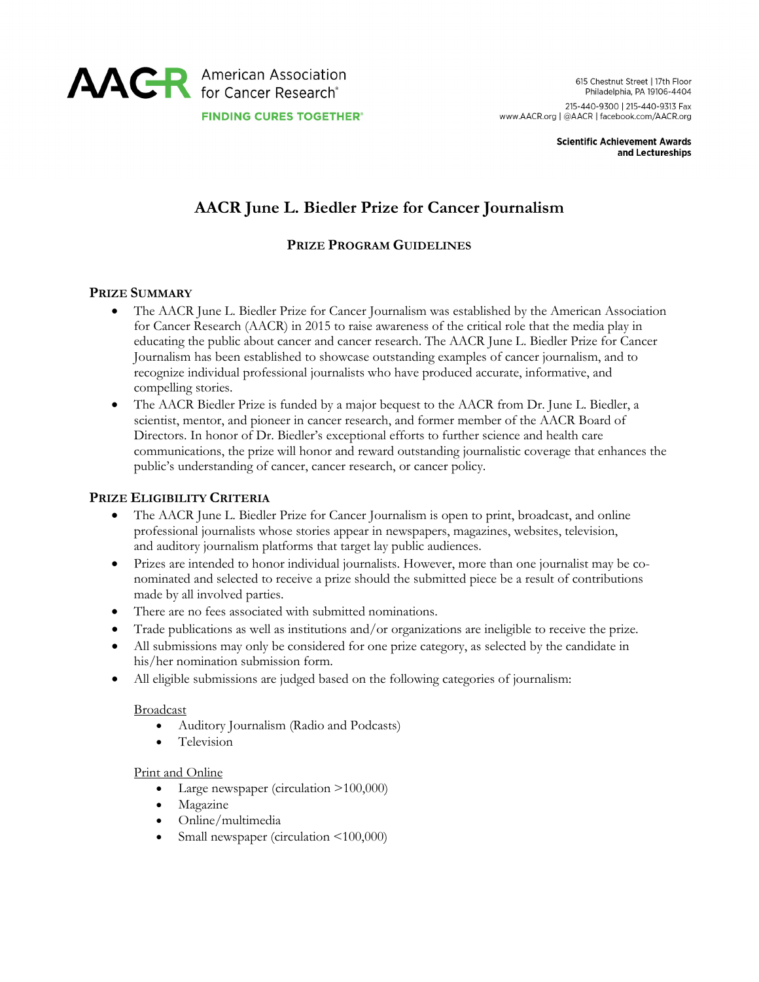

**Scientific Achievement Awards** and Lectureships

# **AACR June L. Biedler Prize for Cancer Journalism**

# **PRIZE PROGRAM GUIDELINES**

### **PRIZE SUMMARY**

- The AACR June L. Biedler Prize for Cancer Journalism was established by the American Association for Cancer Research (AACR) in 2015 to raise awareness of the critical role that the media play in educating the public about cancer and cancer research. The AACR June L. Biedler Prize for Cancer Journalism has been established to showcase outstanding examples of cancer journalism, and to recognize individual professional journalists who have produced accurate, informative, and compelling stories.
- The AACR Biedler Prize is funded by a major bequest to the AACR from Dr. June L. Biedler, a scientist, mentor, and pioneer in cancer research, and former member of the AACR Board of Directors. In honor of Dr. Biedler's exceptional efforts to further science and health care communications, the prize will honor and reward outstanding journalistic coverage that enhances the public's understanding of cancer, cancer research, or cancer policy.

### **PRIZE ELIGIBILITY CRITERIA**

- The AACR June L. Biedler Prize for Cancer Journalism is open to print, broadcast, and online professional journalists whose stories appear in newspapers, magazines, websites, television, and auditory journalism platforms that target lay public audiences.
- Prizes are intended to honor individual journalists. However, more than one journalist may be conominated and selected to receive a prize should the submitted piece be a result of contributions made by all involved parties.
- There are no fees associated with submitted nominations.
- Trade publications as well as institutions and/or organizations are ineligible to receive the prize.
- All submissions may only be considered for one prize category, as selected by the candidate in his/her nomination submission form.
- All eligible submissions are judged based on the following categories of journalism:

### **Broadcast**

- Auditory Journalism (Radio and Podcasts)
- Television

### Print and Online

- Large newspaper (circulation >100,000)
- Magazine
- Online/multimedia
- Small newspaper (circulation <100,000)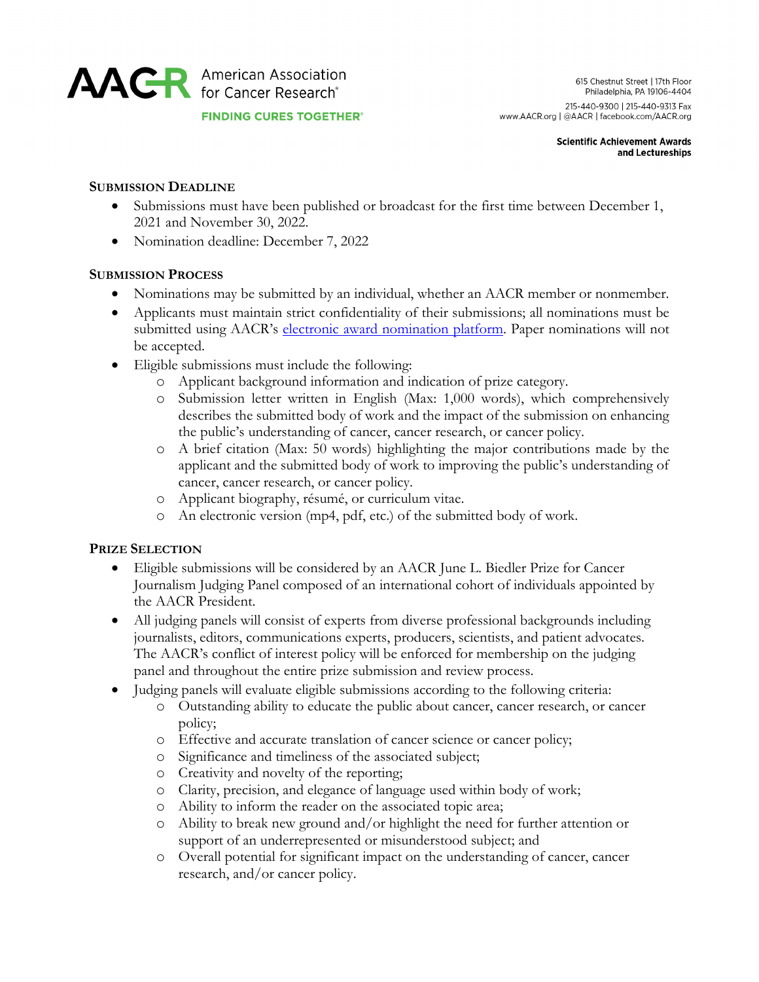

#### **Scientific Achievement Awards** and Lectureships

# **SUBMISSION DEADLINE**

- Submissions must have been published or broadcast for the first time between December 1, 2021 and November 30, 2022.
- Nomination deadline: December 7, 2022

### **SUBMISSION PROCESS**

- Nominations may be submitted by an individual, whether an AACR member or nonmember.
- Applicants must maintain strict confidentiality of their submissions; all nominations must be submitted using AACR's [electronic award nomination platform.](https://myaacr.aacr.org/) Paper nominations will not be accepted.
- Eligible submissions must include the following:
	- o Applicant background information and indication of prize category.
	- o Submission letter written in English (Max: 1,000 words), which comprehensively describes the submitted body of work and the impact of the submission on enhancing the public's understanding of cancer, cancer research, or cancer policy.
	- o A brief citation (Max: 50 words) highlighting the major contributions made by the applicant and the submitted body of work to improving the public's understanding of cancer, cancer research, or cancer policy.
	- o Applicant biography, résumé, or curriculum vitae.
	- o An electronic version (mp4, pdf, etc.) of the submitted body of work.

# **PRIZE SELECTION**

- Eligible submissions will be considered by an AACR June L. Biedler Prize for Cancer Journalism Judging Panel composed of an international cohort of individuals appointed by the AACR President.
- All judging panels will consist of experts from diverse professional backgrounds including journalists, editors, communications experts, producers, scientists, and patient advocates. The AACR's conflict of interest policy will be enforced for membership on the judging panel and throughout the entire prize submission and review process.
- Judging panels will evaluate eligible submissions according to the following criteria:
	- o Outstanding ability to educate the public about cancer, cancer research, or cancer policy;
	- o Effective and accurate translation of cancer science or cancer policy;
	- o Significance and timeliness of the associated subject;
	- o Creativity and novelty of the reporting;
	- o Clarity, precision, and elegance of language used within body of work;
	- o Ability to inform the reader on the associated topic area;
	- o Ability to break new ground and/or highlight the need for further attention or support of an underrepresented or misunderstood subject; and
	- o Overall potential for significant impact on the understanding of cancer, cancer research, and/or cancer policy.